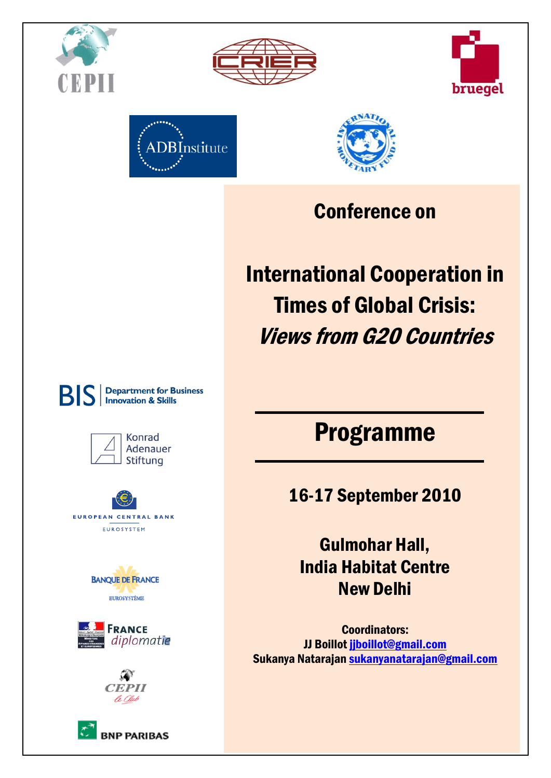









## Conference on

# International Cooperation in Times of Global Crisis: Views from G20 Countries

## Programme

16-17 September 2010

Gulmohar Hall, India Habitat Centre New Delhi

Coordinators: JJ Boillo[t jjboillot@gmail.com](mailto:jjboillot@gmail.com) Sukanya Natarajan [sukanyanatarajan@gmail.com](mailto:sukanyanatarajan@gmail.com)



**BIS** 

**Department for Business** 

**Innovation & Skills** 









**BNP PARIBAS**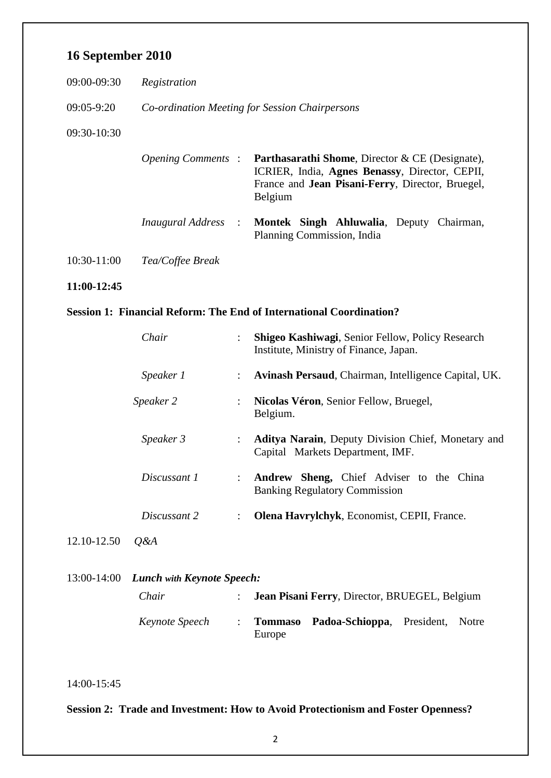#### **16 September 2010**

| 09:00-09:30    | Registration                                   |                                                                                                                                                                                     |  |  |
|----------------|------------------------------------------------|-------------------------------------------------------------------------------------------------------------------------------------------------------------------------------------|--|--|
| $09:05 - 9:20$ | Co-ordination Meeting for Session Chairpersons |                                                                                                                                                                                     |  |  |
| 09:30-10:30    |                                                |                                                                                                                                                                                     |  |  |
|                | <i>Opening Comments:</i>                       | <b>Parthasarathi Shome, Director &amp; CE (Designate),</b><br>ICRIER, India, Agnes Benassy, Director, CEPII,<br>France and <b>Jean Pisani-Ferry</b> , Director, Bruegel,<br>Belgium |  |  |
|                | <i>Inaugural Address</i> :                     | Montek Singh Ahluwalia, Deputy<br>Chairman,<br>Planning Commission, India                                                                                                           |  |  |
| $10:30-11:00$  | Tea/Coffee Break                               |                                                                                                                                                                                     |  |  |
| 11:00-12:45    |                                                |                                                                                                                                                                                     |  |  |

#### **Session 1: Financial Reform: The End of International Coordination?**

|             | Chair        |                      | Shigeo Kashiwagi, Senior Fellow, Policy Research<br>Institute, Ministry of Finance, Japan.    |
|-------------|--------------|----------------------|-----------------------------------------------------------------------------------------------|
|             | Speaker 1    |                      | Avinash Persaud, Chairman, Intelligence Capital, UK.                                          |
|             | Speaker 2    | $\ddot{\phantom{0}}$ | Nicolas Véron, Senior Fellow, Bruegel,<br>Belgium.                                            |
|             | Speaker 3    |                      | <b>Aditya Narain, Deputy Division Chief, Monetary and</b><br>Capital Markets Department, IMF. |
|             | Discussant 1 |                      | Andrew Sheng, Chief Adviser to the China<br><b>Banking Regulatory Commission</b>              |
|             | Discussant 2 | ÷                    | Olena Havrylchyk, Economist, CEPII, France.                                                   |
| 12.10-12.50 | O&A          |                      |                                                                                               |
|             |              |                      |                                                                                               |

| 13:00-14:00 Lunch with Keynote Speech: |  |                       |                                               |  |  |
|----------------------------------------|--|-----------------------|-----------------------------------------------|--|--|
| Chair                                  |  |                       | Jean Pisani Ferry, Director, BRUEGEL, Belgium |  |  |
| <i>Keynote Speech</i>                  |  | $:$ Tommaso<br>Europe | <b>Padoa-Schioppa</b> , President, Notre      |  |  |

14:00-15:45

**Session 2: Trade and Investment: How to Avoid Protectionism and Foster Openness?**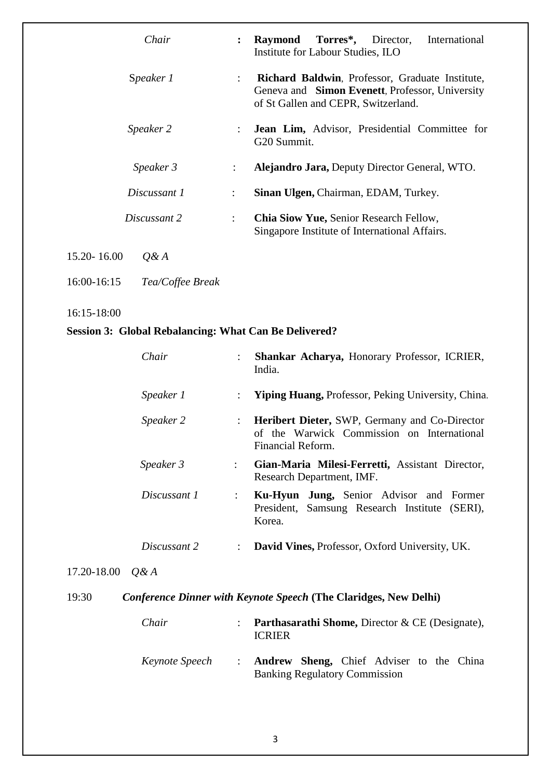| Chair                    | $\ddot{\cdot}$       | Torres*,<br>Director,<br>International<br>Raymond<br>Institute for Labour Studies, ILO                                                    |
|--------------------------|----------------------|-------------------------------------------------------------------------------------------------------------------------------------------|
| Speaker 1                | $\ddot{\phantom{a}}$ | Richard Baldwin, Professor, Graduate Institute,<br>Geneva and Simon Evenett, Professor, University<br>of St Gallen and CEPR, Switzerland. |
| Speaker 2                | $\ddot{\phantom{a}}$ | Jean Lim, Advisor, Presidential Committee for<br>G20 Summit.                                                                              |
| Speaker 3                | $\ddot{\phantom{a}}$ | <b>Alejandro Jara, Deputy Director General, WTO.</b>                                                                                      |
| Discussant 1             | ÷                    | Sinan Ulgen, Chairman, EDAM, Turkey.                                                                                                      |
| Discussant 2             | ÷                    | <b>Chia Siow Yue, Senior Research Fellow,</b><br>Singapore Institute of International Affairs.                                            |
| 15.20 - 16.00<br>$O\& A$ |                      |                                                                                                                                           |

16:00-16:15 *Tea/Coffee Break*

16:15-18:00

### **Session 3: Global Rebalancing: What Can Be Delivered?**

|                   | Chair        |                      | Shankar Acharya, Honorary Professor, ICRIER,<br>India.                                                                  |
|-------------------|--------------|----------------------|-------------------------------------------------------------------------------------------------------------------------|
|                   | Speaker 1    | $\ddot{\phantom{a}}$ | <b>Yiping Huang, Professor, Peking University, China.</b>                                                               |
|                   | Speaker 2    | $\ddot{\cdot}$       | <b>Heribert Dieter, SWP, Germany and Co-Director</b><br>of the Warwick Commission on International<br>Financial Reform. |
|                   | Speaker 3    | $\ddot{\phantom{0}}$ | Gian-Maria Milesi-Ferretti, Assistant Director,<br>Research Department, IMF.                                            |
|                   | Discussant 1 | $\ddot{\phantom{a}}$ | Ku-Hyun Jung, Senior Advisor and Former<br>President, Samsung Research Institute (SERI),<br>Korea.                      |
|                   | Discussant 2 | $\ddot{\phantom{a}}$ | David Vines, Professor, Oxford University, UK.                                                                          |
| 17.20-18.00 $Q&A$ |              |                      |                                                                                                                         |
| 19:30             |              |                      | <b>Conference Dinner with Keynote Speech (The Claridges, New Delhi)</b>                                                 |
|                   | Chair        | $\ddot{\cdot}$       | <b>Parthasarathi Shome, Director &amp; CE (Designate),</b><br><b>ICRIER</b>                                             |

| Keynote Speech                       |  | : <b>Andrew Sheng,</b> Chief Adviser to the China |  |  |  |  |  |
|--------------------------------------|--|---------------------------------------------------|--|--|--|--|--|
| <b>Banking Regulatory Commission</b> |  |                                                   |  |  |  |  |  |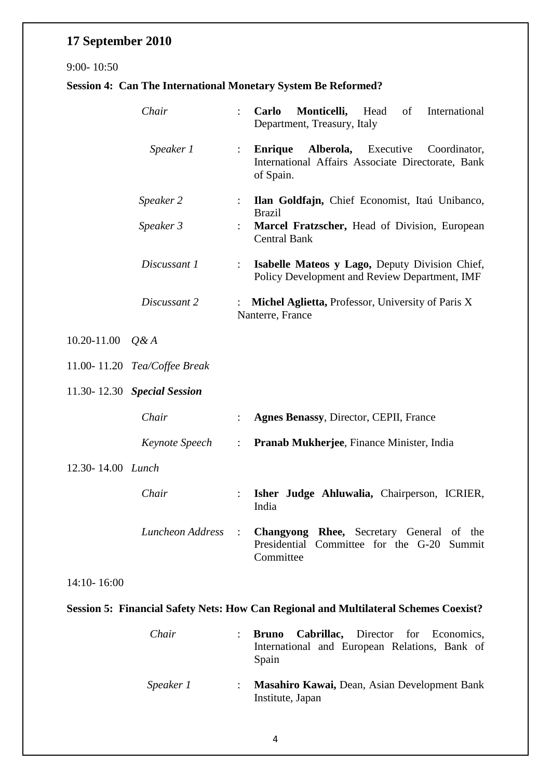## **17 September 2010**

#### 9:00- 10:50

### **Session 4: Can The International Monetary System Be Reformed?**

|                   | Chair                        | $\ddot{\cdot}$            | Monticelli, Head<br>of<br>International<br>Carlo<br>Department, Treasury, Italy                                                      |
|-------------------|------------------------------|---------------------------|--------------------------------------------------------------------------------------------------------------------------------------|
|                   | Speaker 1                    | $\mathbb{Z}^{\mathbb{Z}}$ | <b>Enrique</b><br><b>Alberola,</b> Executive<br>Coordinator,<br>International Affairs Associate Directorate, Bank<br>of Spain.       |
|                   | Speaker 2                    | $\ddot{\phantom{0}}$      | Ilan Goldfajn, Chief Economist, Itaú Unibanco,<br><b>Brazil</b>                                                                      |
|                   | Speaker 3                    |                           | Marcel Fratzscher, Head of Division, European<br><b>Central Bank</b>                                                                 |
|                   | Discussant 1                 | $\ddot{\phantom{a}}$      | Isabelle Mateos y Lago, Deputy Division Chief,<br>Policy Development and Review Department, IMF                                      |
|                   | Discussant 2                 |                           | Michel Aglietta, Professor, University of Paris X<br>Nanterre, France                                                                |
| 10.20-11.00       | $Q\& A$                      |                           |                                                                                                                                      |
|                   | 11.00-11.20 Tea/Coffee Break |                           |                                                                                                                                      |
|                   | 11.30-12.30 Special Session  |                           |                                                                                                                                      |
|                   | Chair                        | $\ddot{\cdot}$            | Agnes Benassy, Director, CEPII, France                                                                                               |
|                   | Keynote Speech               |                           | <b>Pranab Mukherjee, Finance Minister, India</b>                                                                                     |
| 12.30-14.00 Lunch |                              |                           |                                                                                                                                      |
|                   | Chair                        |                           | Isher Judge Ahluwalia, Chairperson, ICRIER,<br>India                                                                                 |
|                   |                              |                           | <i>Luncheon Address</i> : <b>Changyong Rhee,</b> Secretary General of the<br>Presidential Committee for the G-20 Summit<br>Committee |
| $14:10 - 16:00$   |                              |                           |                                                                                                                                      |
|                   |                              |                           | Session 5: Financial Safety Nets: How Can Regional and Multilateral Schemes Coexist?                                                 |

| Chair     | <b>Bruno Cabrillac,</b> Director for Economics,<br>International and European Relations, Bank of<br>Spain |
|-----------|-----------------------------------------------------------------------------------------------------------|
| Speaker 1 | Masahiro Kawai, Dean, Asian Development Bank<br>Institute, Japan                                          |